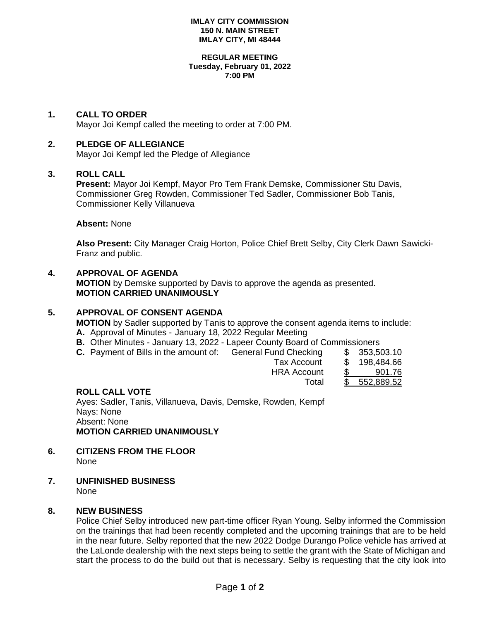#### **IMLAY CITY COMMISSION 150 N. MAIN STREET IMLAY CITY, MI 48444**

#### **REGULAR MEETING Tuesday, February 01, 2022 7:00 PM**

## **1. CALL TO ORDER**

Mayor Joi Kempf called the meeting to order at 7:00 PM.

## **2. PLEDGE OF ALLEGIANCE**

Mayor Joi Kempf led the Pledge of Allegiance

### **3. ROLL CALL**

**Present:** Mayor Joi Kempf, Mayor Pro Tem Frank Demske, Commissioner Stu Davis, Commissioner Greg Rowden, Commissioner Ted Sadler, Commissioner Bob Tanis, Commissioner Kelly Villanueva

### **Absent:** None

**Also Present:** City Manager Craig Horton, Police Chief Brett Selby, City Clerk Dawn Sawicki-Franz and public.

## **4. APPROVAL OF AGENDA**

**MOTION** by Demske supported by Davis to approve the agenda as presented. **MOTION CARRIED UNANIMOUSLY**

## **5. APPROVAL OF CONSENT AGENDA**

**MOTION** by Sadler supported by Tanis to approve the consent agenda items to include: **A.** Approval of Minutes - January 18, 2022 Regular Meeting

- **B.** Other Minutes January 13, 2022 Lapeer County Board of Commissioners
- **C.** Payment of Bills in the amount of: General Fund Checking \$ 353,503.10

| Tax Account        | ---------<br>\$ 198,484.66 |
|--------------------|----------------------------|
|                    |                            |
| <b>HRA Account</b> | 901.76                     |
| Total              | \$ 552,889.52              |
|                    |                            |

## **ROLL CALL VOTE**

Ayes: Sadler, Tanis, Villanueva, Davis, Demske, Rowden, Kempf Nays: None Absent: None **MOTION CARRIED UNANIMOUSLY**

- **6. CITIZENS FROM THE FLOOR** None
- **7. UNFINISHED BUSINESS** None

## **8. NEW BUSINESS**

Police Chief Selby introduced new part-time officer Ryan Young. Selby informed the Commission on the trainings that had been recently completed and the upcoming trainings that are to be held in the near future. Selby reported that the new 2022 Dodge Durango Police vehicle has arrived at the LaLonde dealership with the next steps being to settle the grant with the State of Michigan and start the process to do the build out that is necessary. Selby is requesting that the city look into